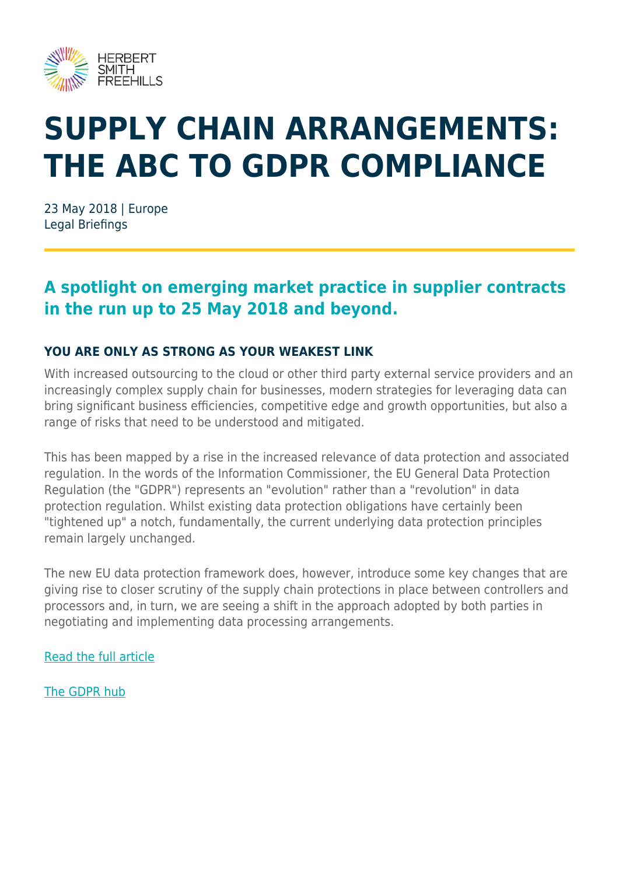

# **SUPPLY CHAIN ARRANGEMENTS: THE ABC TO GDPR COMPLIANCE**

23 May 2018 | Europe Legal Briefings

### **A spotlight on emerging market practice in supplier contracts in the run up to 25 May 2018 and beyond.**

#### **YOU ARE ONLY AS STRONG AS YOUR WEAKEST LINK**

With increased outsourcing to the cloud or other third party external service providers and an increasingly complex supply chain for businesses, modern strategies for leveraging data can bring significant business efficiencies, competitive edge and growth opportunities, but also a range of risks that need to be understood and mitigated.

This has been mapped by a rise in the increased relevance of data protection and associated regulation. In the words of the Information Commissioner, the EU General Data Protection Regulation (the "GDPR") represents an "evolution" rather than a "revolution" in data protection regulation. Whilst existing data protection obligations have certainly been "tightened up" a notch, fundamentally, the current underlying data protection principles remain largely unchanged.

The new EU data protection framework does, however, introduce some key changes that are giving rise to closer scrutiny of the supply chain protections in place between controllers and processors and, in turn, we are seeing a shift in the approach adopted by both parties in negotiating and implementing data processing arrangements.

[Read the full article](https://www.herbertsmithfreehills.com/file/25976/download?token=gcVtUElh)

[The GDPR hub](https://www.herbertsmithfreehills.com/latest-thinking/hubs/gdpr)